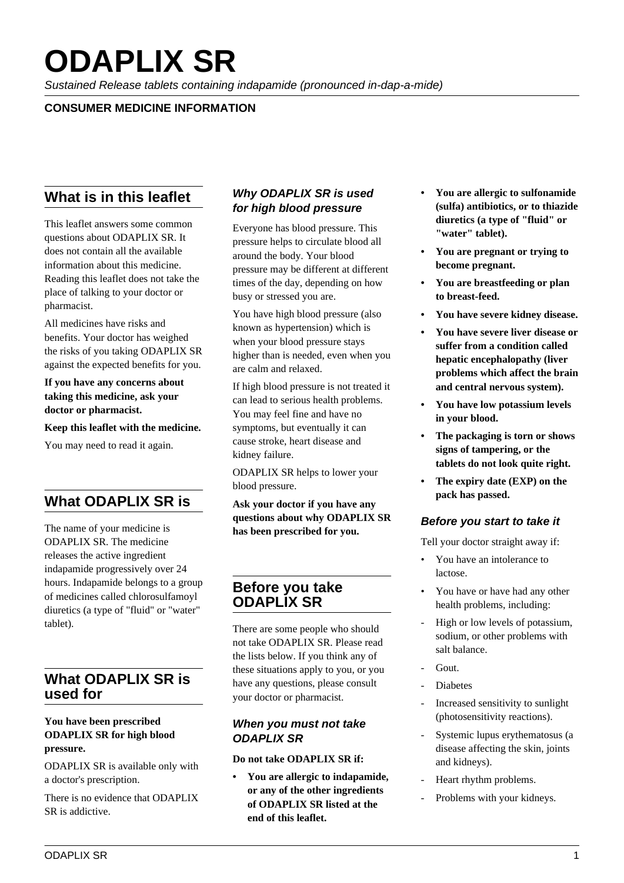# **ODAPLIX SR**

Sustained Release tablets containing indapamide (pronounced in-dap-a-mide)

#### **CONSUMER MEDICINE INFORMATION**

# **What is in this leaflet**

This leaflet answers some common questions about ODAPLIX SR. It does not contain all the available information about this medicine. Reading this leaflet does not take the place of talking to your doctor or pharmacist.

All medicines have risks and benefits. Your doctor has weighed the risks of you taking ODAPLIX SR against the expected benefits for you.

**If you have any concerns about taking this medicine, ask your doctor or pharmacist.**

**Keep this leaflet with the medicine.**

You may need to read it again.

# **What ODAPLIX SR is**

The name of your medicine is ODAPLIX SR. The medicine releases the active ingredient indapamide progressively over 24 hours. Indapamide belongs to a group of medicines called chlorosulfamoyl diuretics (a type of "fluid" or "water" tablet).

## **What ODAPLIX SR is used for**

#### **You have been prescribed ODAPLIX SR for high blood pressure.**

ODAPLIX SR is available only with a doctor's prescription.

There is no evidence that ODAPLIX SR is addictive.

#### **Why ODAPLIX SR is used for high blood pressure**

Everyone has blood pressure. This pressure helps to circulate blood all around the body. Your blood pressure may be different at different times of the day, depending on how busy or stressed you are.

You have high blood pressure (also known as hypertension) which is when your blood pressure stays higher than is needed, even when you are calm and relaxed.

If high blood pressure is not treated it can lead to serious health problems. You may feel fine and have no symptoms, but eventually it can cause stroke, heart disease and kidney failure.

ODAPLIX SR helps to lower your blood pressure.

**Ask your doctor if you have any questions about why ODAPLIX SR has been prescribed for you.**

#### **Before you take ODAPLIX SR**

There are some people who should not take ODAPLIX SR. Please read the lists below. If you think any of these situations apply to you, or you have any questions, please consult your doctor or pharmacist.

#### **When you must not take ODAPLIX SR**

#### **Do not take ODAPLIX SR if:**

**• You are allergic to indapamide, or any of the other ingredients of ODAPLIX SR listed at the end of this leaflet.**

- **You are allergic to sulfonamide (sulfa) antibiotics, or to thiazide diuretics (a type of "fluid" or "water" tablet).**
- **You are pregnant or trying to become pregnant.**
- **You are breastfeeding or plan to breast-feed.**
- **You have severe kidney disease.**
- **You have severe liver disease or suffer from a condition called hepatic encephalopathy (liver problems which affect the brain and central nervous system).**
- **You have low potassium levels in your blood.**
- **The packaging is torn or shows signs of tampering, or the tablets do not look quite right.**
- **The expiry date (EXP) on the pack has passed.**

#### **Before you start to take it**

Tell your doctor straight away if:

- You have an intolerance to lactose.
- You have or have had any other health problems, including:
- High or low levels of potassium, sodium, or other problems with salt balance.
- Gout.
- **Diabetes**
- Increased sensitivity to sunlight (photosensitivity reactions).
- Systemic lupus erythematosus (a disease affecting the skin, joints and kidneys).
- Heart rhythm problems.
- Problems with your kidneys.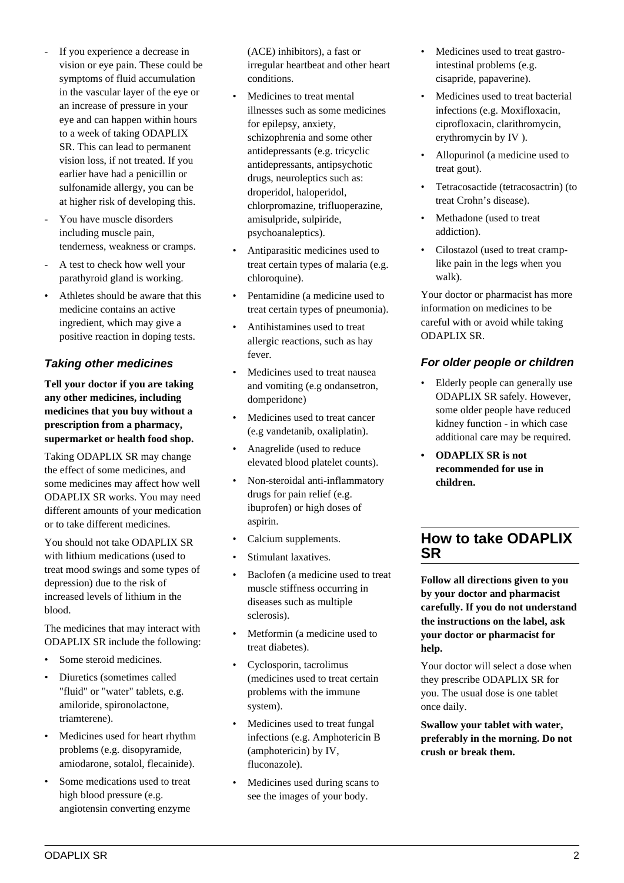- If you experience a decrease in vision or eye pain. These could be symptoms of fluid accumulation in the vascular layer of the eye or an increase of pressure in your eye and can happen within hours to a week of taking ODAPLIX SR. This can lead to permanent vision loss, if not treated. If you earlier have had a penicillin or sulfonamide allergy, you can be at higher risk of developing this.
- You have muscle disorders including muscle pain, tenderness, weakness or cramps.
- A test to check how well your parathyroid gland is working.
- Athletes should be aware that this medicine contains an active ingredient, which may give a positive reaction in doping tests.

#### **Taking other medicines**

**Tell your doctor if you are taking any other medicines, including medicines that you buy without a prescription from a pharmacy, supermarket or health food shop.**

Taking ODAPLIX SR may change the effect of some medicines, and some medicines may affect how well ODAPLIX SR works. You may need different amounts of your medication or to take different medicines.

You should not take ODAPLIX SR with lithium medications (used to treat mood swings and some types of depression) due to the risk of increased levels of lithium in the blood.

The medicines that may interact with ODAPLIX SR include the following:

- Some steroid medicines.
- Diuretics (sometimes called "fluid" or "water" tablets, e.g. amiloride, spironolactone, triamterene).
- Medicines used for heart rhythm problems (e.g. disopyramide, amiodarone, sotalol, flecainide).
- Some medications used to treat high blood pressure (e.g. angiotensin converting enzyme

(ACE) inhibitors), a fast or irregular heartbeat and other heart conditions.

- Medicines to treat mental illnesses such as some medicines for epilepsy, anxiety, schizophrenia and some other antidepressants (e.g. tricyclic antidepressants, antipsychotic drugs, neuroleptics such as: droperidol, haloperidol, chlorpromazine, trifluoperazine, amisulpride, sulpiride, psychoanaleptics).
- Antiparasitic medicines used to treat certain types of malaria (e.g. chloroquine).
- Pentamidine (a medicine used to treat certain types of pneumonia).
- Antihistamines used to treat allergic reactions, such as hay fever.
- Medicines used to treat nausea and vomiting (e.g ondansetron, domperidone)
- Medicines used to treat cancer (e.g vandetanib, oxaliplatin).
- Anagrelide (used to reduce elevated blood platelet counts).
- Non-steroidal anti-inflammatory drugs for pain relief (e.g. ibuprofen) or high doses of aspirin.
- Calcium supplements.
- Stimulant laxatives.
- Baclofen (a medicine used to treat muscle stiffness occurring in diseases such as multiple sclerosis).
- Metformin (a medicine used to treat diabetes).
- Cyclosporin, tacrolimus (medicines used to treat certain problems with the immune system).
- Medicines used to treat fungal infections (e.g. Amphotericin B (amphotericin) by IV, fluconazole).
- Medicines used during scans to see the images of your body.
- Medicines used to treat gastrointestinal problems (e.g. cisapride, papaverine).
- Medicines used to treat bacterial infections (e.g. Moxifloxacin, ciprofloxacin, clarithromycin, erythromycin by IV ).
- Allopurinol (a medicine used to treat gout).
- Tetracosactide (tetracosactrin) (to treat Crohn's disease).
- Methadone (used to treat) addiction).
- Cilostazol (used to treat cramplike pain in the legs when you walk).

Your doctor or pharmacist has more information on medicines to be careful with or avoid while taking ODAPLIX SR.

## **For older people or children**

- Elderly people can generally use ODAPLIX SR safely. However, some older people have reduced kidney function - in which case additional care may be required.
- **ODAPLIX SR is not recommended for use in children.**

# **How to take ODAPLIX SR**

**Follow all directions given to you by your doctor and pharmacist carefully. If you do not understand the instructions on the label, ask your doctor or pharmacist for help.**

Your doctor will select a dose when they prescribe ODAPLIX SR for you. The usual dose is one tablet once daily.

**Swallow your tablet with water, preferably in the morning. Do not crush or break them.**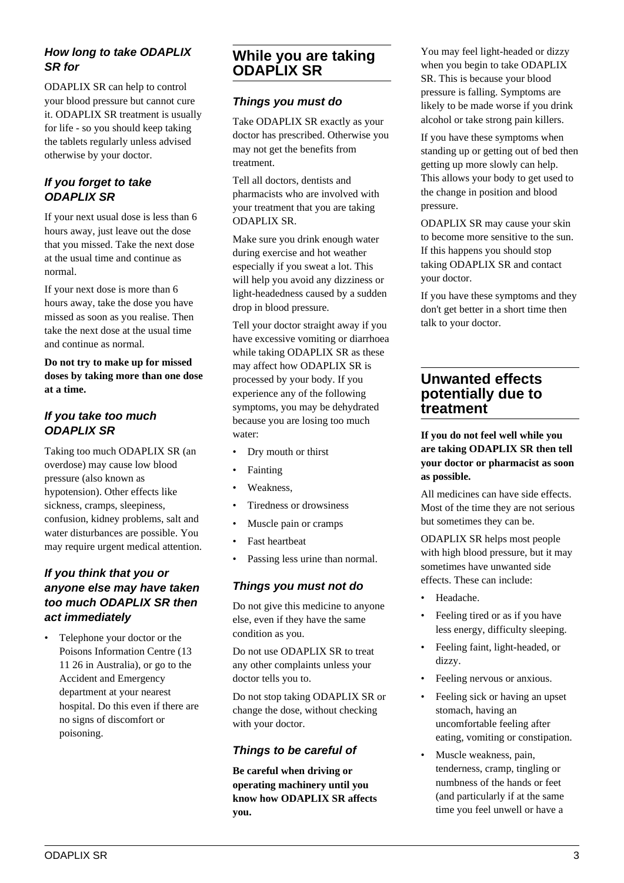## **How long to take ODAPLIX SR for**

ODAPLIX SR can help to control your blood pressure but cannot cure it. ODAPLIX SR treatment is usually for life - so you should keep taking the tablets regularly unless advised otherwise by your doctor.

#### **If you forget to take ODAPLIX SR**

If your next usual dose is less than 6 hours away, just leave out the dose that you missed. Take the next dose at the usual time and continue as normal.

If your next dose is more than 6 hours away, take the dose you have missed as soon as you realise. Then take the next dose at the usual time and continue as normal.

**Do not try to make up for missed doses by taking more than one dose at a time.**

## **If you take too much ODAPLIX SR**

Taking too much ODAPLIX SR (an overdose) may cause low blood pressure (also known as hypotension). Other effects like sickness, cramps, sleepiness, confusion, kidney problems, salt and water disturbances are possible. You may require urgent medical attention.

#### **If you think that you or anyone else may have taken too much ODAPLIX SR then act immediately**

Telephone your doctor or the Poisons Information Centre (13 11 26 in Australia), or go to the Accident and Emergency department at your nearest hospital. Do this even if there are no signs of discomfort or poisoning.

# **While you are taking ODAPLIX SR**

## **Things you must do**

Take ODAPLIX SR exactly as your doctor has prescribed. Otherwise you may not get the benefits from treatment.

Tell all doctors, dentists and pharmacists who are involved with your treatment that you are taking ODAPLIX SR.

Make sure you drink enough water during exercise and hot weather especially if you sweat a lot. This will help you avoid any dizziness or light-headedness caused by a sudden drop in blood pressure.

Tell your doctor straight away if you have excessive vomiting or diarrhoea while taking ODAPLIX SR as these may affect how ODAPLIX SR is processed by your body. If you experience any of the following symptoms, you may be dehydrated because you are losing too much water:

- Dry mouth or thirst
- Fainting
- Weakness,
- Tiredness or drowsiness
- Muscle pain or cramps
- Fast heartbeat
- Passing less urine than normal.

#### **Things you must not do**

Do not give this medicine to anyone else, even if they have the same condition as you.

Do not use ODAPLIX SR to treat any other complaints unless your doctor tells you to.

Do not stop taking ODAPLIX SR or change the dose, without checking with your doctor.

## **Things to be careful of**

**Be careful when driving or operating machinery until you know how ODAPLIX SR affects you.**

You may feel light-headed or dizzy when you begin to take ODAPLIX SR. This is because your blood pressure is falling. Symptoms are likely to be made worse if you drink alcohol or take strong pain killers.

If you have these symptoms when standing up or getting out of bed then getting up more slowly can help. This allows your body to get used to the change in position and blood pressure.

ODAPLIX SR may cause your skin to become more sensitive to the sun. If this happens you should stop taking ODAPLIX SR and contact your doctor.

If you have these symptoms and they don't get better in a short time then talk to your doctor.

## **Unwanted effects potentially due to treatment**

**If you do not feel well while you are taking ODAPLIX SR then tell your doctor or pharmacist as soon as possible.**

All medicines can have side effects. Most of the time they are not serious but sometimes they can be.

ODAPLIX SR helps most people with high blood pressure, but it may sometimes have unwanted side effects. These can include:

- Headache.
- Feeling tired or as if you have less energy, difficulty sleeping.
- Feeling faint, light-headed, or dizzy.
- Feeling nervous or anxious.
- Feeling sick or having an upset stomach, having an uncomfortable feeling after eating, vomiting or constipation.
- Muscle weakness, pain, tenderness, cramp, tingling or numbness of the hands or feet (and particularly if at the same time you feel unwell or have a